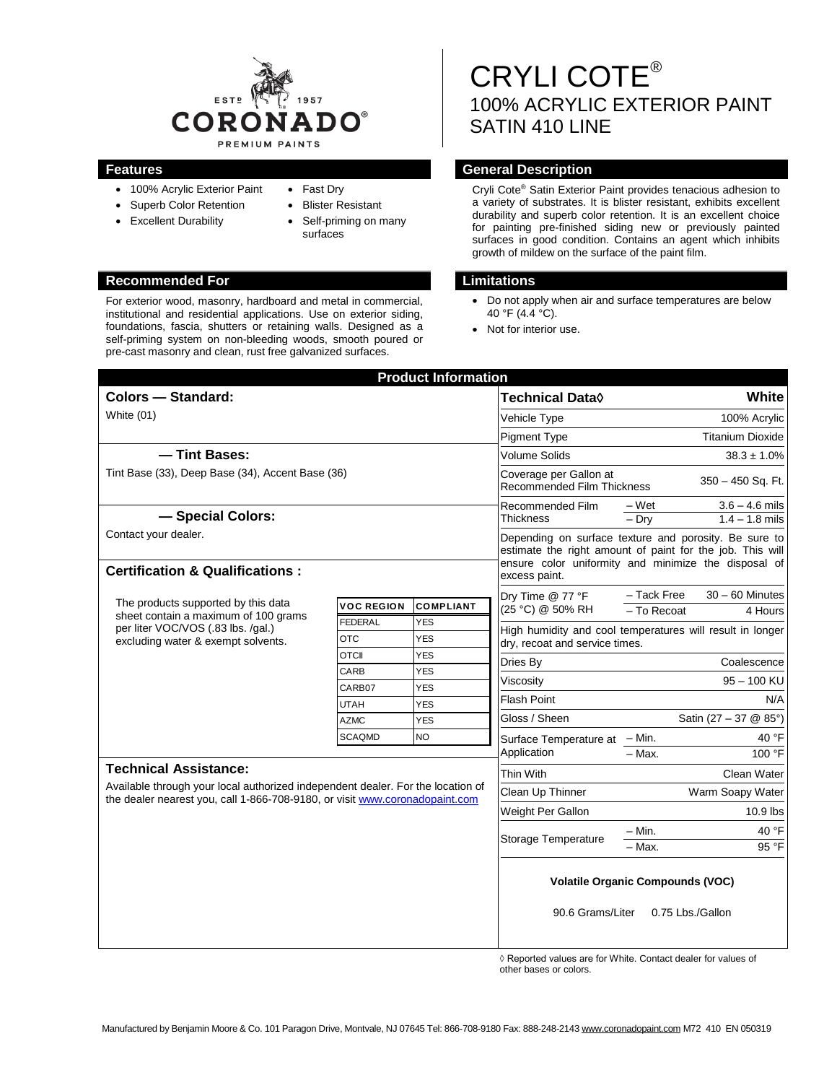

- 100% Acrylic Exterior Paint
- Superb Color Retention
- Excellent Durability
- Fast Dry
- Blister Resistant
- Self-priming on many surfaces

# **Recommended For Limitations**

For exterior wood, masonry, hardboard and metal in commercial, institutional and residential applications. Use on exterior siding, foundations, fascia, shutters or retaining walls. Designed as a self-priming system on non-bleeding woods, smooth poured or pre-cast masonry and clean, rust free galvanized surfaces.

# CRYLI COTE® 100% ACRYLIC EXTERIOR PAINT SATIN 410 LINE

### **Features General Description**

Cryli Cote® Satin Exterior Paint provides tenacious adhesion to a variety of substrates. It is blister resistant, exhibits excellent durability and superb color retention. It is an excellent choice for painting pre-finished siding new or previously painted surfaces in good condition. Contains an agent which inhibits growth of mildew on the surface of the paint film.

- Do not apply when air and surface temperatures are below 40 °F (4.4 °C).
- Not for interior use.

| <b>Product Information</b>                                                                                                                                     |                            |                         |                                                                                                                    |                                             |                                      |  |
|----------------------------------------------------------------------------------------------------------------------------------------------------------------|----------------------------|-------------------------|--------------------------------------------------------------------------------------------------------------------|---------------------------------------------|--------------------------------------|--|
| <b>Colors - Standard:</b>                                                                                                                                      |                            |                         | <b>Technical Data</b> ♦                                                                                            | White                                       |                                      |  |
| White $(01)$                                                                                                                                                   |                            |                         | Vehicle Type                                                                                                       | 100% Acrylic                                |                                      |  |
|                                                                                                                                                                |                            |                         | <b>Pigment Type</b>                                                                                                |                                             | <b>Titanium Dioxide</b>              |  |
| - Tint Bases:                                                                                                                                                  |                            |                         | <b>Volume Solids</b>                                                                                               | $38.3 \pm 1.0\%$                            |                                      |  |
| Tint Base (33), Deep Base (34), Accent Base (36)                                                                                                               |                            |                         | Coverage per Gallon at<br><b>Recommended Film Thickness</b>                                                        | 350 - 450 Sq. Ft.                           |                                      |  |
| - Special Colors:                                                                                                                                              |                            |                         | Recommended Film<br><b>Thickness</b>                                                                               | – Wet<br>$-$ Dry                            | $3.6 - 4.6$ mils<br>$1.4 - 1.8$ mils |  |
| Contact your dealer.                                                                                                                                           |                            |                         | Depending on surface texture and porosity. Be sure to<br>estimate the right amount of paint for the job. This will |                                             |                                      |  |
| <b>Certification &amp; Qualifications:</b>                                                                                                                     |                            |                         | ensure color uniformity and minimize the disposal of<br>excess paint.                                              |                                             |                                      |  |
| The products supported by this data<br>sheet contain a maximum of 100 grams<br>per liter VOC/VOS (.83 lbs. /gal.)<br>excluding water & exempt solvents.        | <b>VOC REGION</b>          | <b>COMPLIANT</b>        | Dry Time @ 77 °F<br>(25 °C) @ 50% RH                                                                               | - Tack Free                                 | $30 - 60$ Minutes                    |  |
|                                                                                                                                                                | <b>FEDERAL</b>             | <b>YES</b>              |                                                                                                                    | - To Recoat                                 | 4 Hours                              |  |
|                                                                                                                                                                | <b>OTC</b>                 | <b>YES</b>              | High humidity and cool temperatures will result in longer<br>dry, recoat and service times.                        |                                             |                                      |  |
|                                                                                                                                                                | <b>OTCII</b>               | <b>YES</b>              | Dries By                                                                                                           | Coalescence                                 |                                      |  |
|                                                                                                                                                                | CARB                       | <b>YES</b>              | Viscosity                                                                                                          | 95 - 100 KU<br>N/A<br>Satin (27 - 37 @ 85°) |                                      |  |
|                                                                                                                                                                | CARB07                     | <b>YES</b>              | <b>Flash Point</b>                                                                                                 |                                             |                                      |  |
|                                                                                                                                                                | <b>UTAH</b><br><b>AZMC</b> | <b>YES</b>              | Gloss / Sheen                                                                                                      |                                             |                                      |  |
|                                                                                                                                                                | <b>SCAQMD</b>              | <b>YES</b><br><b>NO</b> |                                                                                                                    |                                             | 40 °F                                |  |
|                                                                                                                                                                |                            |                         | Surface Temperature at - Min.<br>Application                                                                       | - Max.                                      | 100 °F                               |  |
| <b>Technical Assistance:</b>                                                                                                                                   |                            |                         | Thin With                                                                                                          |                                             | Clean Water                          |  |
| Available through your local authorized independent dealer. For the location of<br>the dealer nearest you, call 1-866-708-9180, or visit www.coronadopaint.com |                            |                         | Clean Up Thinner                                                                                                   | Warm Soapy Water                            |                                      |  |
|                                                                                                                                                                |                            |                         | Weight Per Gallon                                                                                                  | 10.9 lbs                                    |                                      |  |
|                                                                                                                                                                |                            |                         | Storage Temperature                                                                                                | $-$ Min.                                    | 40 °F                                |  |
|                                                                                                                                                                |                            |                         |                                                                                                                    | $-$ Max.                                    | 95 °F                                |  |
|                                                                                                                                                                |                            |                         | <b>Volatile Organic Compounds (VOC)</b><br>90.6 Grams/Liter<br>0.75 Lbs./Gallon                                    |                                             |                                      |  |
|                                                                                                                                                                |                            |                         |                                                                                                                    |                                             |                                      |  |

 ◊ Reported values are for White. Contact dealer for values of other bases or colors.